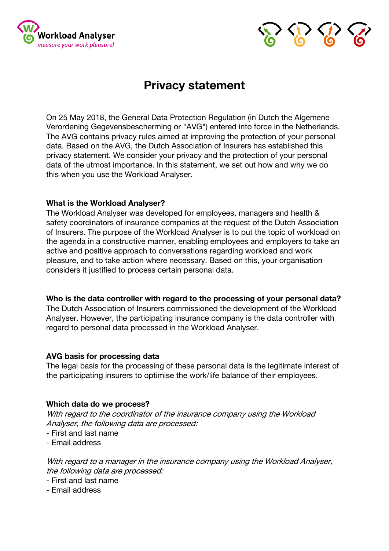



# **Privacy statement**

On 25 May 2018, the General Data Protection Regulation (in Dutch the Algemene Verordening Gegevensbescherming or "AVG") entered into force in the Netherlands. The AVG contains privacy rules aimed at improving the protection of your personal data. Based on the AVG, the Dutch Association of Insurers has established this privacy statement. We consider your privacy and the protection of your personal data of the utmost importance. In this statement, we set out how and why we do this when you use the Workload Analyser.

# **What is the Workload Analyser?**

The Workload Analyser was developed for employees, managers and health & safety coordinators of insurance companies at the request of the Dutch Association of Insurers. The purpose of the Workload Analyser is to put the topic of workload on the agenda in a constructive manner, enabling employees and employers to take an active and positive approach to conversations regarding workload and work pleasure, and to take action where necessary. Based on this, your organisation considers it justified to process certain personal data.

#### **Who is the data controller with regard to the processing of your personal data?**

The Dutch Association of Insurers commissioned the development of the Workload Analyser. However, the participating insurance company is the data controller with regard to personal data processed in the Workload Analyser.

#### **AVG basis for processing data**

The legal basis for the processing of these personal data is the legitimate interest of the participating insurers to optimise the work/life balance of their employees.

# **Which data do we process?**

With regard to the coordinator of the insurance company using the Workload Analyser, the following data are processed:

- First and last name
- Email address

With regard to a manager in the insurance company using the Workload Analyser, the following data are processed:

- First and last name
- Email address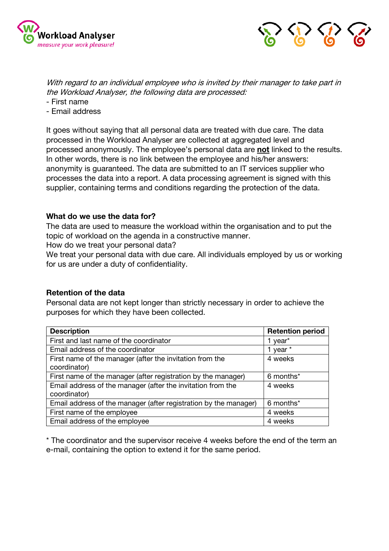



With regard to an individual employee who is invited by their manager to take part in the Workload Analyser, the following data are processed:

- First name
- Email address

It goes without saying that all personal data are treated with due care. The data processed in the Workload Analyser are collected at aggregated level and processed anonymously. The employee's personal data are **not** linked to the results. In other words, there is no link between the employee and his/her answers: anonymity is guaranteed. The data are submitted to an IT services supplier who processes the data into a report. A data processing agreement is signed with this supplier, containing terms and conditions regarding the protection of the data.

#### **What do we use the data for?**

The data are used to measure the workload within the organisation and to put the topic of workload on the agenda in a constructive manner.

How do we treat your personal data?

We treat your personal data with due care. All individuals employed by us or working for us are under a duty of confidentiality.

#### **Retention of the data**

Personal data are not kept longer than strictly necessary in order to achieve the purposes for which they have been collected.

| <b>Description</b>                                               | <b>Retention period</b> |
|------------------------------------------------------------------|-------------------------|
| First and last name of the coordinator                           | 1 year <sup>*</sup>     |
| Email address of the coordinator                                 | 1 year $*$              |
| First name of the manager (after the invitation from the         | 4 weeks                 |
| coordinator)                                                     |                         |
| First name of the manager (after registration by the manager)    | 6 months*               |
| Email address of the manager (after the invitation from the      | 4 weeks                 |
| coordinator)                                                     |                         |
| Email address of the manager (after registration by the manager) | 6 months*               |
| First name of the employee                                       | 4 weeks                 |
| Email address of the employee                                    | 4 weeks                 |

\* The coordinator and the supervisor receive 4 weeks before the end of the term an e-mail, containing the option to extend it for the same period.